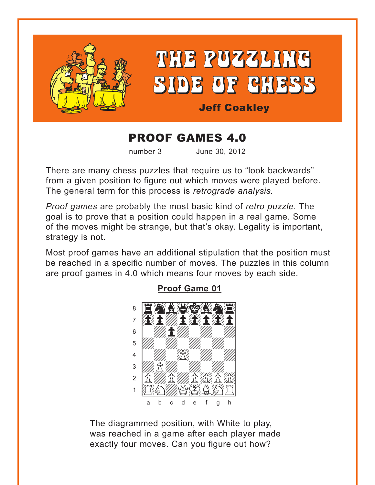<span id="page-0-0"></span>

## **PROOF GAMES 4.0**

number 3

June 30, 2012

There are many chess puzzles that require us to "look backwards" from a given position to figure out which moves were played before. The general term for this process is retrograde analysis.

Proof games are probably the most basic kind of retro puzzle. The goal is to prove that a position could happen in a real game. Some of the moves might be strange, but that's okay. Legality is important, strategy is not.

Most proof games have an additional stipulation that the position must be reached in a specific number of moves. The puzzles in this column are proof games in 4.0 which means four moves by each side.



## **Proof Game 01**

The diagrammed position, with White to play, was reached in a game after each player made exactly four moves. Can you figure out how?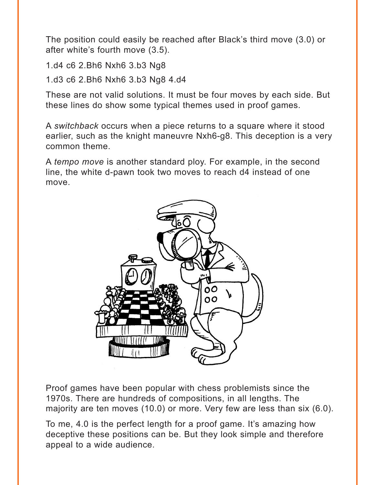The position could easily be reached after Black's third move (3.0) or after white's fourth move (3.5).

1.d4 c6 2.Bh6 Nxh6 3.b3 Ng8

1.d3 c6 2.Bh6 Nxh6 3.b3 Ng8 4.d4

These are not valid solutions. It must be four moves by each side. But these lines do show some typical themes used in proof games.

A *switchback* occurs when a piece returns to a square where it stood earlier, such as the knight maneuvre Nxh6-g8. This deception is a very common theme.

A *tempo move* is another standard ploy. For example, in the second line, the white d-pawn took two moves to reach d4 instead of one move.



Proof games have been popular with chess problemists since the 1970s. There are hundreds of compositions, in all lengths. The majority are ten moves (10.0) or more. Very few are less than six (6.0).

To me, 4.0 is the perfect length for a proof game. It's amazing how deceptive these positions can be. But they look simple and therefore appeal to a wide audience.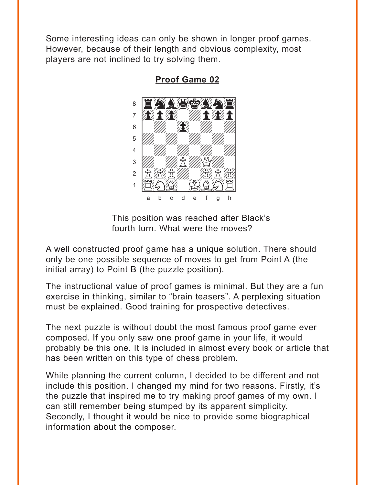<span id="page-2-0"></span>Some interesting ideas can only be shown in longer proof games. However, because of their length and obvious complexity, most players are not inclined to try solving them.



**Proof Game 02** 

This position was reached after Black's fourth turn. What were the moves?

A well constructed proof game has a unique solution. There should only be one possible sequence of moves to get from Point A (the initial array) to Point B (the puzzle position).

The instructional value of proof games is minimal. But they are a fun exercise in thinking, similar to "brain teasers". A perplexing situation must be explained. Good training for prospective detectives.

The next puzzle is without doubt the most famous proof game ever composed. If you only saw one proof game in your life, it would probably be this one. It is included in almost every book or article that has been written on this type of chess problem.

While planning the current column, I decided to be different and not include this position. I changed my mind for two reasons. Firstly, it's the puzzle that inspired me to try making proof games of my own. I can still remember being stumped by its apparent simplicity. Secondly, I thought it would be nice to provide some biographical information about the composer.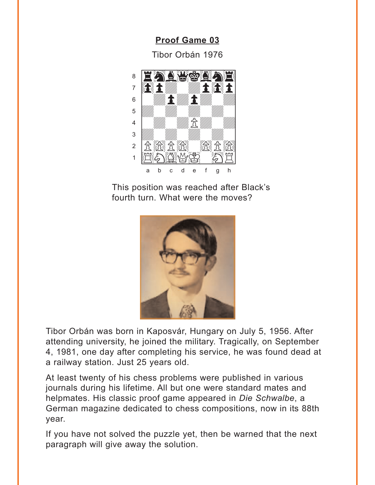**Proof Game 03** 

Tibor Orbán 1976

<span id="page-3-0"></span>

This position was reached after Black's fourth turn. What were the moves?



Tibor Orbán was born in Kaposvár, Hungary on July 5, 1956. After attending university, he joined the military. Tragically, on September 4, 1981, one day after completing his service, he was found dead at a railway station. Just 25 years old.

At least twenty of his chess problems were published in various journals during his lifetime. All but one were standard mates and helpmates. His classic proof game appeared in Die Schwalbe, a German magazine dedicated to chess compositions, now in its 88th year.

If you have not solved the puzzle yet, then be warned that the next paragraph will give away the solution.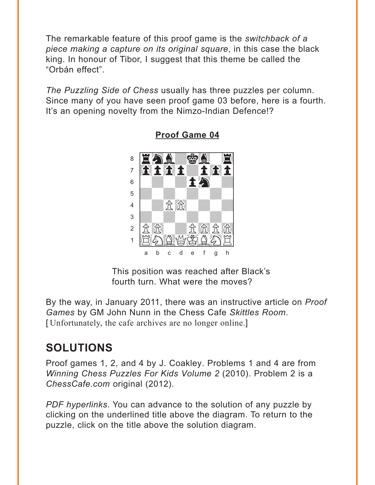<span id="page-4-0"></span>The remarkable feature of this proof game is the *switchback of a* piece making a capture on its original square, in this case the black king. In honour of Tibor, I suggest that this theme be called the "Orbán effect".

The Puzzling Side of Chess usually has three puzzles per column. Since many of you have seen proof game 03 before, here is a fourth. It's an opening novelty from the Nimzo-Indian Defence!?



**Proof Game 04** 

This position was reached after Black's fourth turn. What were the moves?

By the way, in January 2011, there was an instructive article on *Proof* Games by GM John Nunn in the Chess Cafe Skittles Room. [Unfortunately, the cafe archives are no longer online.]

## **SOLUTIONS**

Proof games 1, 2, and 4 by J. Coakley. Problems 1 and 4 are from Winning Chess Puzzles For Kids Volume 2 (2010). Problem 2 is a ChessCafe.com original (2012).

PDF hyperlinks. You can advance to the solution of any puzzle by clicking on the underlined title above the diagram. To return to the puzzle, click on the title above the solution diagram.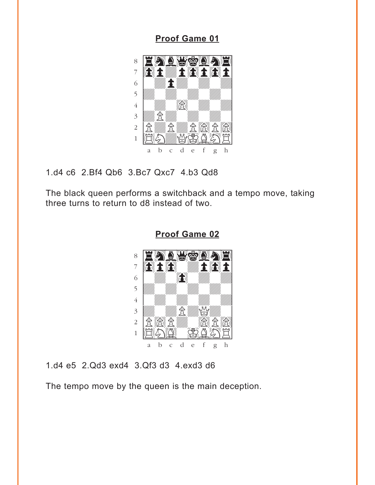<span id="page-5-0"></span>**[Proof Game 01](#page-0-0)**



1.d4 c6 2.Bf4 Qb6 3.Bc7 Qxc7 4.b3 Qd8

The black queen performs a switchback and a tempo move, taking three turns to return to d8 instead of two.



**[Proof Game 02](#page-2-0)**

1.d4 e5 2.Qd3 exd4 3.Qf3 d3 4.exd3 d6

The tempo move by the queen is the main deception.